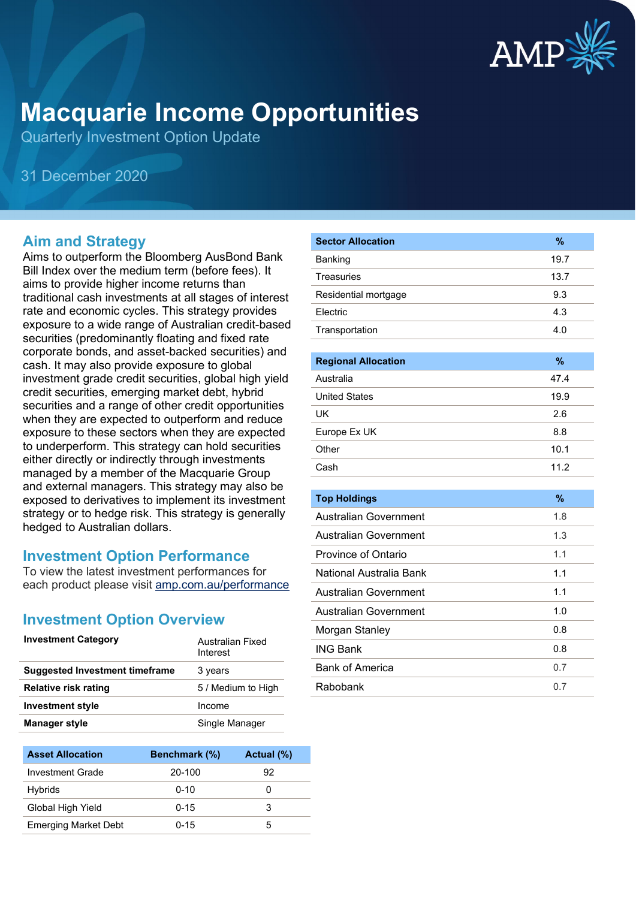

# **Macquarie Income Opportunities**

Quarterly Investment Option Update

31 December 2020

### **Aim and Strategy**

Aims to outperform the Bloomberg AusBond Bank Bill Index over the medium term (before fees). It aims to provide higher income returns than traditional cash investments at all stages of interest rate and economic cycles. This strategy provides exposure to a wide range of Australian credit-based securities (predominantly floating and fixed rate corporate bonds, and asset-backed securities) and cash. It may also provide exposure to global investment grade credit securities, global high yield credit securities, emerging market debt, hybrid securities and a range of other credit opportunities when they are expected to outperform and reduce exposure to these sectors when they are expected to underperform. This strategy can hold securities either directly or indirectly through investments managed by a member of the Macquarie Group and external managers. This strategy may also be exposed to derivatives to implement its investment strategy or to hedge risk. This strategy is generally hedged to Australian dollars.

#### **Investment Option Performance**

To view the latest investment performances for each product please visit [amp.com.au/performance](https://www.amp.com.au/performance)

#### **Investment Option Overview**

| <b>Investment Category</b>            | Australian Fixed<br>Interest |
|---------------------------------------|------------------------------|
| <b>Suggested Investment timeframe</b> | 3 years                      |
| Relative risk rating                  | 5 / Medium to High           |
| <b>Investment style</b>               | Income                       |
| <b>Manager style</b>                  | Single Manager               |
|                                       |                              |

| <b>Asset Allocation</b>     | Benchmark (%) | Actual (%) |
|-----------------------------|---------------|------------|
| Investment Grade            | 20-100        | 92         |
| Hybrids                     | $0 - 10$      |            |
| Global High Yield           | $0 - 15$      | З          |
| <b>Emerging Market Debt</b> | $0 - 15$      | 5          |

| <b>Sector Allocation</b>     | $\frac{9}{6}$ |
|------------------------------|---------------|
| Banking                      | 19.7          |
| <b>Treasuries</b>            | 13.7          |
| Residential mortgage         | 9.3           |
| Electric                     | 4.3           |
| Transportation               | 4.0           |
|                              |               |
| <b>Regional Allocation</b>   | $\%$          |
| Australia                    | 47.4          |
| <b>United States</b>         | 19.9          |
| UK                           | 2.6           |
| Europe Ex UK                 | 8.8           |
| Other                        | 10.1          |
| Cash                         | 11.2          |
|                              |               |
| <b>Top Holdings</b>          | $\%$          |
| Australian Government        | 1.8           |
| <b>Australian Government</b> | 1.3           |
| <b>Province of Ontario</b>   | 1.1           |
| National Australia Bank      | 1.1           |
| <b>Australian Government</b> | 1.1           |
| <b>Australian Government</b> | 1.0           |
| Morgan Stanley               | 0.8           |
| <b>ING Bank</b>              | 0.8           |
| <b>Bank of America</b>       | 0.7           |
| Rabobank                     | 0.7           |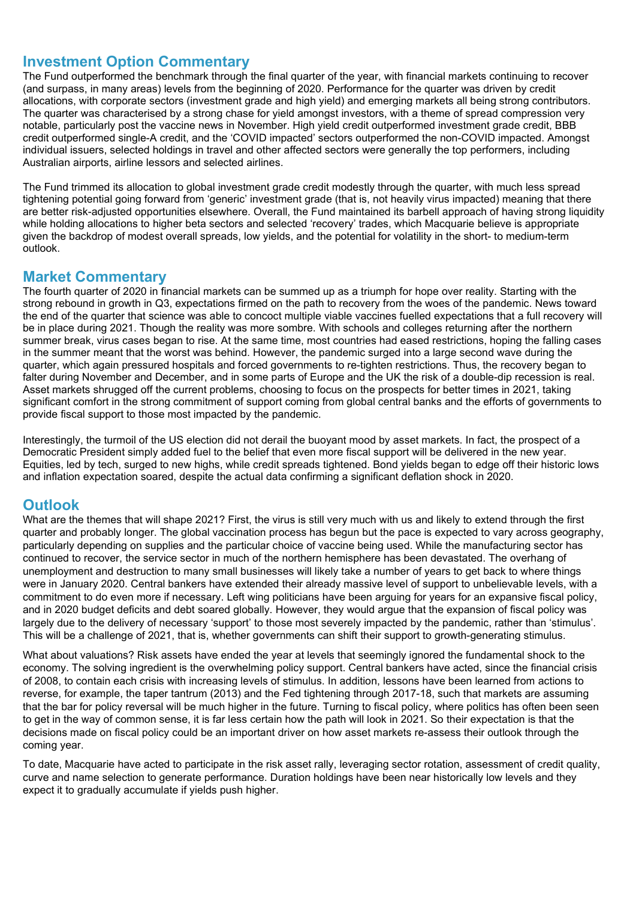#### **Investment Option Commentary**

The Fund outperformed the benchmark through the final quarter of the year, with financial markets continuing to recover (and surpass, in many areas) levels from the beginning of 2020. Performance for the quarter was driven by credit allocations, with corporate sectors (investment grade and high yield) and emerging markets all being strong contributors. The quarter was characterised by a strong chase for yield amongst investors, with a theme of spread compression very notable, particularly post the vaccine news in November. High yield credit outperformed investment grade credit, BBB credit outperformed single-A credit, and the 'COVID impacted' sectors outperformed the non-COVID impacted. Amongst individual issuers, selected holdings in travel and other affected sectors were generally the top performers, including Australian airports, airline lessors and selected airlines.

The Fund trimmed its allocation to global investment grade credit modestly through the quarter, with much less spread tightening potential going forward from 'generic' investment grade (that is, not heavily virus impacted) meaning that there are better risk-adjusted opportunities elsewhere. Overall, the Fund maintained its barbell approach of having strong liquidity while holding allocations to higher beta sectors and selected 'recovery' trades, which Macquarie believe is appropriate given the backdrop of modest overall spreads, low yields, and the potential for volatility in the short- to medium-term outlook.

#### **Market Commentary**

The fourth quarter of 2020 in financial markets can be summed up as a triumph for hope over reality. Starting with the strong rebound in growth in Q3, expectations firmed on the path to recovery from the woes of the pandemic. News toward the end of the quarter that science was able to concoct multiple viable vaccines fuelled expectations that a full recovery will be in place during 2021. Though the reality was more sombre. With schools and colleges returning after the northern summer break, virus cases began to rise. At the same time, most countries had eased restrictions, hoping the falling cases in the summer meant that the worst was behind. However, the pandemic surged into a large second wave during the quarter, which again pressured hospitals and forced governments to re-tighten restrictions. Thus, the recovery began to falter during November and December, and in some parts of Europe and the UK the risk of a double-dip recession is real. Asset markets shrugged off the current problems, choosing to focus on the prospects for better times in 2021, taking significant comfort in the strong commitment of support coming from global central banks and the efforts of governments to provide fiscal support to those most impacted by the pandemic.

Interestingly, the turmoil of the US election did not derail the buoyant mood by asset markets. In fact, the prospect of a Democratic President simply added fuel to the belief that even more fiscal support will be delivered in the new year. Equities, led by tech, surged to new highs, while credit spreads tightened. Bond yields began to edge off their historic lows and inflation expectation soared, despite the actual data confirming a significant deflation shock in 2020.

#### **Outlook**

What are the themes that will shape 2021? First, the virus is still very much with us and likely to extend through the first quarter and probably longer. The global vaccination process has begun but the pace is expected to vary across geography, particularly depending on supplies and the particular choice of vaccine being used. While the manufacturing sector has continued to recover, the service sector in much of the northern hemisphere has been devastated. The overhang of unemployment and destruction to many small businesses will likely take a number of years to get back to where things were in January 2020. Central bankers have extended their already massive level of support to unbelievable levels, with a commitment to do even more if necessary. Left wing politicians have been arguing for years for an expansive fiscal policy, and in 2020 budget deficits and debt soared globally. However, they would argue that the expansion of fiscal policy was largely due to the delivery of necessary 'support' to those most severely impacted by the pandemic, rather than 'stimulus'. This will be a challenge of 2021, that is, whether governments can shift their support to growth-generating stimulus.

What about valuations? Risk assets have ended the year at levels that seemingly ignored the fundamental shock to the economy. The solving ingredient is the overwhelming policy support. Central bankers have acted, since the financial crisis of 2008, to contain each crisis with increasing levels of stimulus. In addition, lessons have been learned from actions to reverse, for example, the taper tantrum (2013) and the Fed tightening through 2017-18, such that markets are assuming that the bar for policy reversal will be much higher in the future. Turning to fiscal policy, where politics has often been seen to get in the way of common sense, it is far less certain how the path will look in 2021. So their expectation is that the decisions made on fiscal policy could be an important driver on how asset markets re-assess their outlook through the coming year.

To date, Macquarie have acted to participate in the risk asset rally, leveraging sector rotation, assessment of credit quality, curve and name selection to generate performance. Duration holdings have been near historically low levels and they expect it to gradually accumulate if yields push higher.